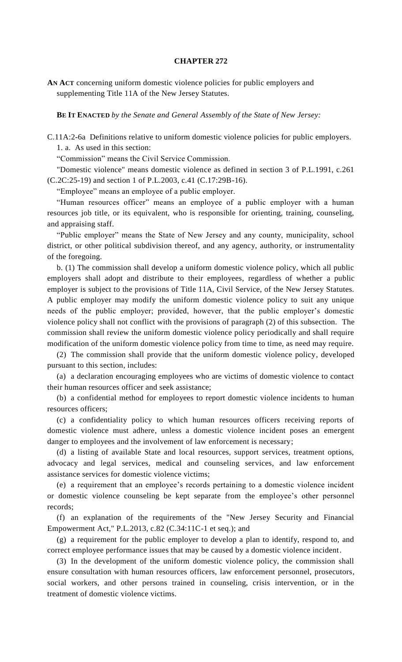## **CHAPTER 272**

**AN ACT** concerning uniform domestic violence policies for public employers and supplementing Title 11A of the New Jersey Statutes.

**BE IT ENACTED** *by the Senate and General Assembly of the State of New Jersey:*

C.11A:2-6a Definitions relative to uniform domestic violence policies for public employers. 1. a. As used in this section:

"Commission" means the Civil Service Commission.

"Domestic violence" means domestic violence as defined in section 3 of P.L.1991, c.261 (C.2C:25-19) and section 1 of P.L.2003, c.41 (C.17:29B-16).

"Employee" means an employee of a public employer.

"Human resources officer" means an employee of a public employer with a human resources job title, or its equivalent, who is responsible for orienting, training, counseling, and appraising staff.

"Public employer" means the State of New Jersey and any county, municipality, school district, or other political subdivision thereof, and any agency, authority, or instrumentality of the foregoing.

b. (1) The commission shall develop a uniform domestic violence policy, which all public employers shall adopt and distribute to their employees, regardless of whether a public employer is subject to the provisions of Title 11A, Civil Service, of the New Jersey Statutes. A public employer may modify the uniform domestic violence policy to suit any unique needs of the public employer; provided, however, that the public employer's domestic violence policy shall not conflict with the provisions of paragraph (2) of this subsection. The commission shall review the uniform domestic violence policy periodically and shall require modification of the uniform domestic violence policy from time to time, as need may require.

(2) The commission shall provide that the uniform domestic violence policy, developed pursuant to this section, includes:

(a) a declaration encouraging employees who are victims of domestic violence to contact their human resources officer and seek assistance;

(b) a confidential method for employees to report domestic violence incidents to human resources officers;

(c) a confidentiality policy to which human resources officers receiving reports of domestic violence must adhere, unless a domestic violence incident poses an emergent danger to employees and the involvement of law enforcement is necessary;

(d) a listing of available State and local resources, support services, treatment options, advocacy and legal services, medical and counseling services, and law enforcement assistance services for domestic violence victims;

(e) a requirement that an employee's records pertaining to a domestic violence incident or domestic violence counseling be kept separate from the employee's other personnel records;

(f) an explanation of the requirements of the "New Jersey Security and Financial Empowerment Act," P.L.2013, c.82 (C.34:11C-1 et seq.); and

(g) a requirement for the public employer to develop a plan to identify, respond to, and correct employee performance issues that may be caused by a domestic violence incident.

(3) In the development of the uniform domestic violence policy, the commission shall ensure consultation with human resources officers, law enforcement personnel, prosecutors, social workers, and other persons trained in counseling, crisis intervention, or in the treatment of domestic violence victims.